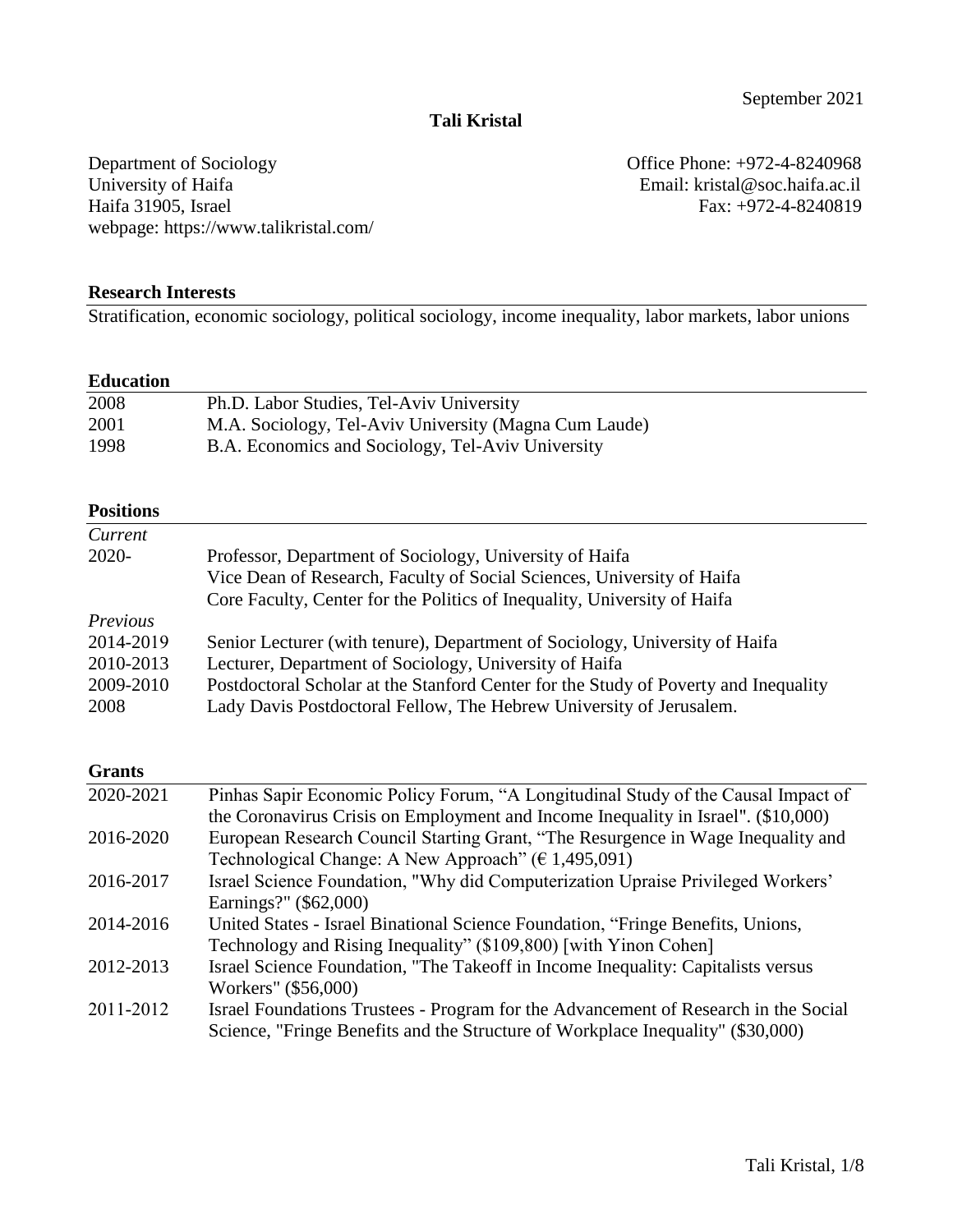## **Tali Kristal**

Department of Sociology Office Phone: +972-4-8240968<br>University of Haifa Branch Charles Email: kristal@soc.haifa.ac.il University of Haifa<br>
Haifa 31905, Israel Email: kristal@soc.haifa.ac.il<br>
Fax: +972-4-8240819 webpage: https://www.talikristal.com/

Fax: +972-4-8240819

#### **Research Interests**

Stratification, economic sociology, political sociology, income inequality, labor markets, labor unions

#### **Education**

| 2008 | Ph.D. Labor Studies, Tel-Aviv University              |
|------|-------------------------------------------------------|
| 2001 | M.A. Sociology, Tel-Aviv University (Magna Cum Laude) |
| 1998 | B.A. Economics and Sociology, Tel-Aviv University     |

#### **Positions**

| Current   |                                                                                     |
|-----------|-------------------------------------------------------------------------------------|
| $2020 -$  | Professor, Department of Sociology, University of Haifa                             |
|           | Vice Dean of Research, Faculty of Social Sciences, University of Haifa              |
|           | Core Faculty, Center for the Politics of Inequality, University of Haifa            |
| Previous  |                                                                                     |
| 2014-2019 | Senior Lecturer (with tenure), Department of Sociology, University of Haifa         |
| 2010-2013 | Lecturer, Department of Sociology, University of Haifa                              |
| 2009-2010 | Postdoctoral Scholar at the Stanford Center for the Study of Poverty and Inequality |
| 2008      | Lady Davis Postdoctoral Fellow, The Hebrew University of Jerusalem.                 |

#### **Grants**

| 2020-2021 | Pinhas Sapir Economic Policy Forum, "A Longitudinal Study of the Causal Impact of   |
|-----------|-------------------------------------------------------------------------------------|
|           | the Coronavirus Crisis on Employment and Income Inequality in Israel". (\$10,000)   |
| 2016-2020 | European Research Council Starting Grant, "The Resurgence in Wage Inequality and    |
|           | Technological Change: A New Approach" ( $\epsilon$ 1,495,091)                       |
| 2016-2017 | Israel Science Foundation, "Why did Computerization Upraise Privileged Workers'     |
|           | Earnings?" (\$62,000)                                                               |
| 2014-2016 | United States - Israel Binational Science Foundation, "Fringe Benefits, Unions,     |
|           | Technology and Rising Inequality" (\$109,800) [with Yinon Cohen]                    |
| 2012-2013 | Israel Science Foundation, "The Takeoff in Income Inequality: Capitalists versus    |
|           | Workers" (\$56,000)                                                                 |
| 2011-2012 | Israel Foundations Trustees - Program for the Advancement of Research in the Social |
|           | Science, "Fringe Benefits and the Structure of Workplace Inequality" (\$30,000)     |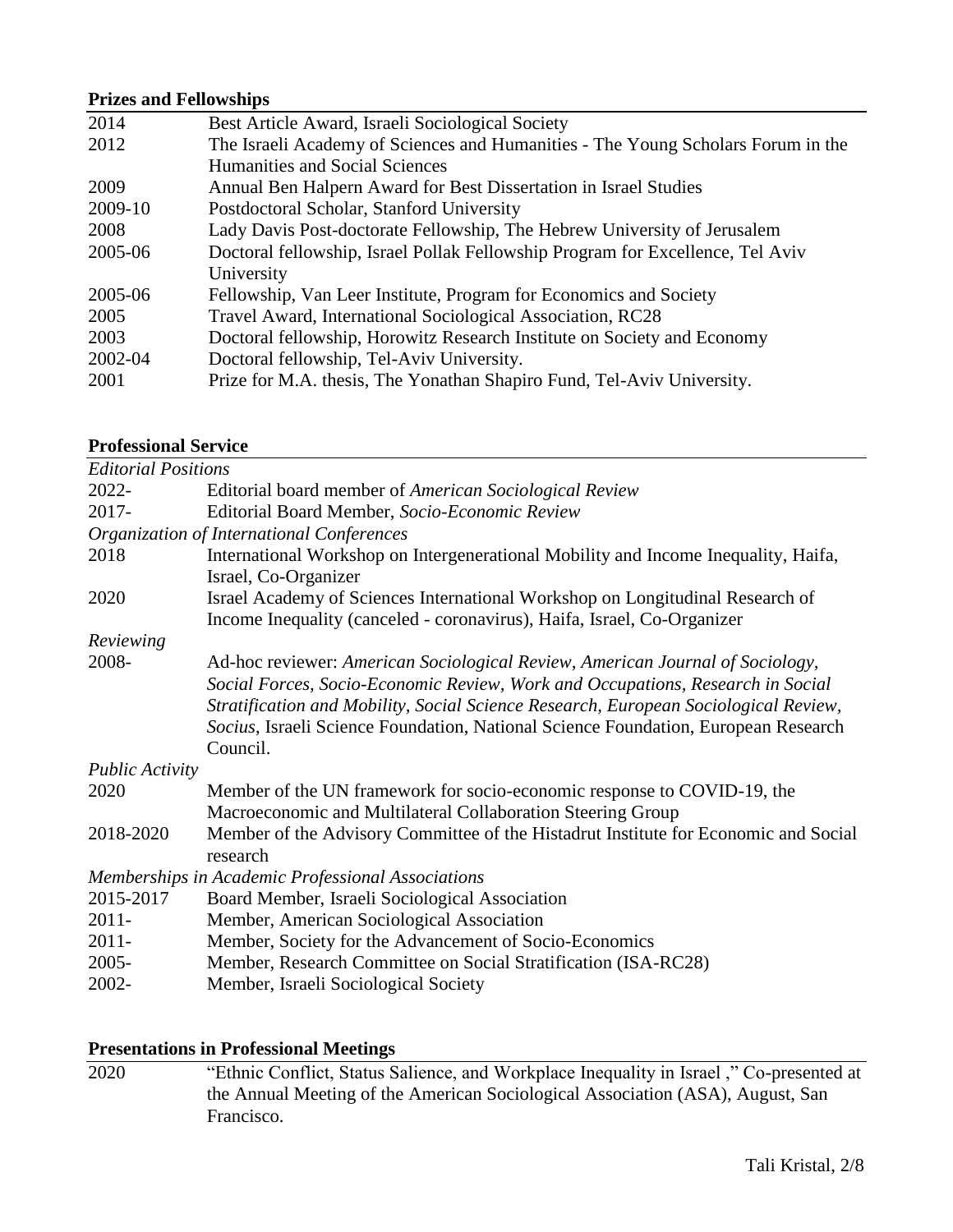## **Prizes and Fellowships**

| 2014    | Best Article Award, Israeli Sociological Society                                 |
|---------|----------------------------------------------------------------------------------|
| 2012    | The Israeli Academy of Sciences and Humanities - The Young Scholars Forum in the |
|         | Humanities and Social Sciences                                                   |
| 2009    | Annual Ben Halpern Award for Best Dissertation in Israel Studies                 |
| 2009-10 | Postdoctoral Scholar, Stanford University                                        |
| 2008    | Lady Davis Post-doctorate Fellowship, The Hebrew University of Jerusalem         |
| 2005-06 | Doctoral fellowship, Israel Pollak Fellowship Program for Excellence, Tel Aviv   |
|         | University                                                                       |
| 2005-06 | Fellowship, Van Leer Institute, Program for Economics and Society                |
| 2005    | Travel Award, International Sociological Association, RC28                       |
| 2003    | Doctoral fellowship, Horowitz Research Institute on Society and Economy          |
| 2002-04 | Doctoral fellowship, Tel-Aviv University.                                        |
| 2001    | Prize for M.A. thesis, The Yonathan Shapiro Fund, Tel-Aviv University.           |
|         |                                                                                  |

#### **Professional Service**

| <b>Editorial Positions</b>                                  |                                                                                                                                                                                                                                                                                                                                              |  |  |
|-------------------------------------------------------------|----------------------------------------------------------------------------------------------------------------------------------------------------------------------------------------------------------------------------------------------------------------------------------------------------------------------------------------------|--|--|
| 2022-                                                       | Editorial board member of American Sociological Review                                                                                                                                                                                                                                                                                       |  |  |
| 2017-<br>Editorial Board Member, Socio-Economic Review      |                                                                                                                                                                                                                                                                                                                                              |  |  |
| Organization of International Conferences                   |                                                                                                                                                                                                                                                                                                                                              |  |  |
| 2018<br>Israel, Co-Organizer                                | International Workshop on Intergenerational Mobility and Income Inequality, Haifa,                                                                                                                                                                                                                                                           |  |  |
| 2020                                                        | Israel Academy of Sciences International Workshop on Longitudinal Research of<br>Income Inequality (canceled - coronavirus), Haifa, Israel, Co-Organizer                                                                                                                                                                                     |  |  |
| Reviewing                                                   |                                                                                                                                                                                                                                                                                                                                              |  |  |
| 2008-<br>Council.                                           | Ad-hoc reviewer: American Sociological Review, American Journal of Sociology,<br>Social Forces, Socio-Economic Review, Work and Occupations, Research in Social<br>Stratification and Mobility, Social Science Research, European Sociological Review,<br>Socius, Israeli Science Foundation, National Science Foundation, European Research |  |  |
| <b>Public Activity</b>                                      |                                                                                                                                                                                                                                                                                                                                              |  |  |
| 2020                                                        | Member of the UN framework for socio-economic response to COVID-19, the<br>Macroeconomic and Multilateral Collaboration Steering Group                                                                                                                                                                                                       |  |  |
| 2018-2020<br>research                                       | Member of the Advisory Committee of the Histadrut Institute for Economic and Social                                                                                                                                                                                                                                                          |  |  |
| Memberships in Academic Professional Associations           |                                                                                                                                                                                                                                                                                                                                              |  |  |
| 2015-2017<br>Board Member, Israeli Sociological Association |                                                                                                                                                                                                                                                                                                                                              |  |  |
| Member, American Sociological Association<br>$2011 -$       |                                                                                                                                                                                                                                                                                                                                              |  |  |
| $2011 -$                                                    | Member, Society for the Advancement of Socio-Economics                                                                                                                                                                                                                                                                                       |  |  |
| $2005 -$                                                    | Member, Research Committee on Social Stratification (ISA-RC28)                                                                                                                                                                                                                                                                               |  |  |
| 2002-<br>Member, Israeli Sociological Society               |                                                                                                                                                                                                                                                                                                                                              |  |  |

## **Presentations in Professional Meetings**

2020 "Ethnic Conflict, Status Salience, and Workplace Inequality in Israel ," Co-presented at the Annual Meeting of the American Sociological Association (ASA), August, San Francisco.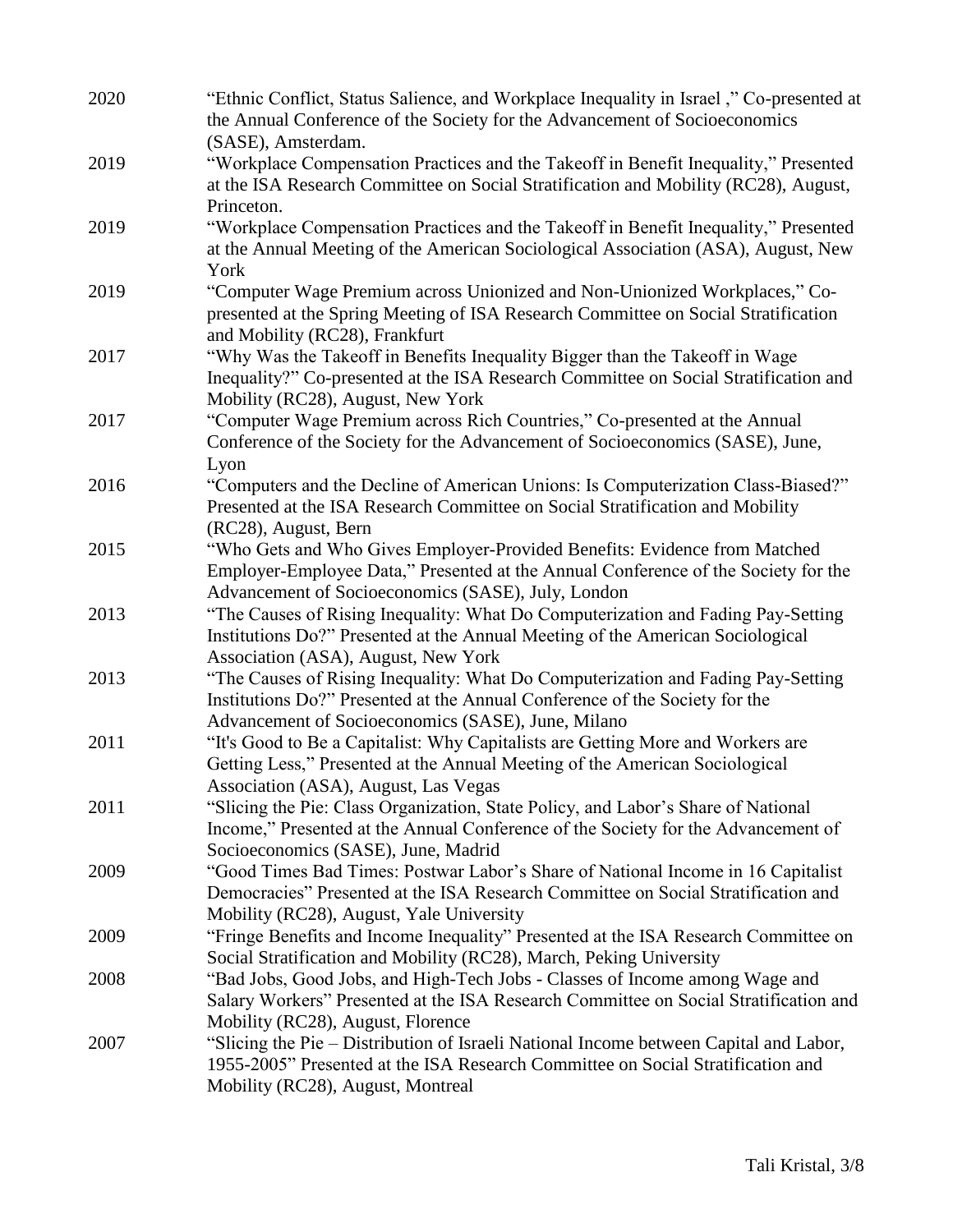| 2020 | "Ethnic Conflict, Status Salience, and Workplace Inequality in Israel," Co-presented at<br>the Annual Conference of the Society for the Advancement of Socioeconomics                                                                              |
|------|----------------------------------------------------------------------------------------------------------------------------------------------------------------------------------------------------------------------------------------------------|
| 2019 | (SASE), Amsterdam.<br>"Workplace Compensation Practices and the Takeoff in Benefit Inequality," Presented<br>at the ISA Research Committee on Social Stratification and Mobility (RC28), August,                                                   |
| 2019 | Princeton.<br>"Workplace Compensation Practices and the Takeoff in Benefit Inequality," Presented<br>at the Annual Meeting of the American Sociological Association (ASA), August, New<br>York                                                     |
| 2019 | "Computer Wage Premium across Unionized and Non-Unionized Workplaces," Co-<br>presented at the Spring Meeting of ISA Research Committee on Social Stratification<br>and Mobility (RC28), Frankfurt                                                 |
| 2017 | "Why Was the Takeoff in Benefits Inequality Bigger than the Takeoff in Wage<br>Inequality?" Co-presented at the ISA Research Committee on Social Stratification and<br>Mobility (RC28), August, New York                                           |
| 2017 | "Computer Wage Premium across Rich Countries," Co-presented at the Annual<br>Conference of the Society for the Advancement of Socioeconomics (SASE), June,<br>Lyon                                                                                 |
| 2016 | "Computers and the Decline of American Unions: Is Computerization Class-Biased?"<br>Presented at the ISA Research Committee on Social Stratification and Mobility<br>(RC28), August, Bern                                                          |
| 2015 | "Who Gets and Who Gives Employer-Provided Benefits: Evidence from Matched<br>Employer-Employee Data," Presented at the Annual Conference of the Society for the                                                                                    |
| 2013 | Advancement of Socioeconomics (SASE), July, London<br>"The Causes of Rising Inequality: What Do Computerization and Fading Pay-Setting<br>Institutions Do?" Presented at the Annual Meeting of the American Sociological                           |
| 2013 | Association (ASA), August, New York<br>"The Causes of Rising Inequality: What Do Computerization and Fading Pay-Setting<br>Institutions Do?" Presented at the Annual Conference of the Society for the                                             |
| 2011 | Advancement of Socioeconomics (SASE), June, Milano<br>"It's Good to Be a Capitalist: Why Capitalists are Getting More and Workers are<br>Getting Less," Presented at the Annual Meeting of the American Sociological                               |
| 2011 | Association (ASA), August, Las Vegas<br>"Slicing the Pie: Class Organization, State Policy, and Labor's Share of National<br>Income," Presented at the Annual Conference of the Society for the Advancement of                                     |
| 2009 | Socioeconomics (SASE), June, Madrid<br>"Good Times Bad Times: Postwar Labor's Share of National Income in 16 Capitalist<br>Democracies" Presented at the ISA Research Committee on Social Stratification and                                       |
| 2009 | Mobility (RC28), August, Yale University<br>"Fringe Benefits and Income Inequality" Presented at the ISA Research Committee on<br>Social Stratification and Mobility (RC28), March, Peking University                                              |
| 2008 | "Bad Jobs, Good Jobs, and High-Tech Jobs - Classes of Income among Wage and<br>Salary Workers" Presented at the ISA Research Committee on Social Stratification and                                                                                |
| 2007 | Mobility (RC28), August, Florence<br>"Slicing the Pie - Distribution of Israeli National Income between Capital and Labor,<br>1955-2005" Presented at the ISA Research Committee on Social Stratification and<br>Mobility (RC28), August, Montreal |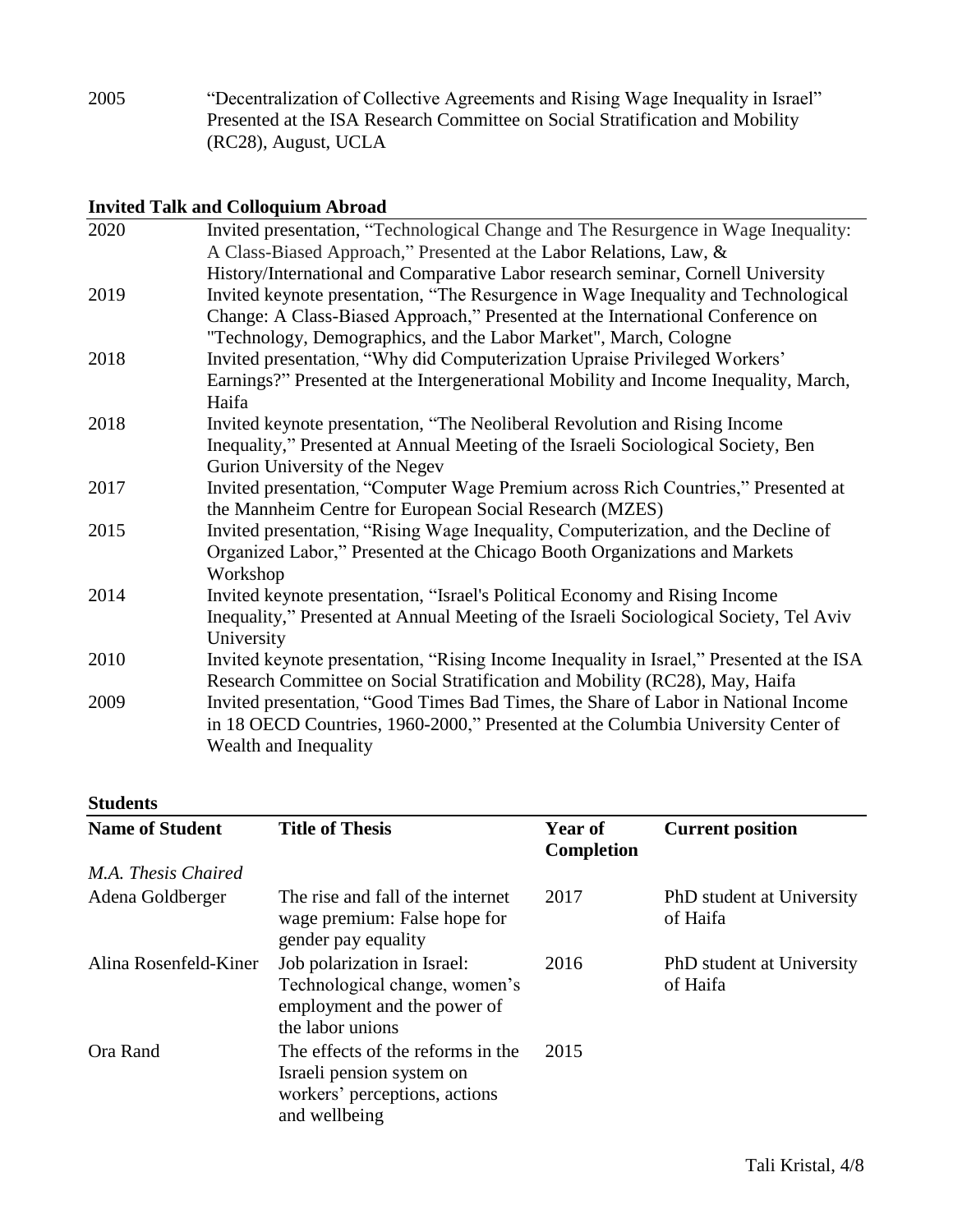2005 "Decentralization of Collective Agreements and Rising Wage Inequality in Israel" Presented at the ISA Research Committee on Social Stratification and Mobility (RC28), August, UCLA

## **Invited Talk and Colloquium Abroad**

| 2020 | Invited presentation, "Technological Change and The Resurgence in Wage Inequality:       |
|------|------------------------------------------------------------------------------------------|
|      | A Class-Biased Approach," Presented at the Labor Relations, Law, &                       |
|      | History/International and Comparative Labor research seminar, Cornell University         |
| 2019 | Invited keynote presentation, "The Resurgence in Wage Inequality and Technological       |
|      | Change: A Class-Biased Approach," Presented at the International Conference on           |
|      | "Technology, Demographics, and the Labor Market", March, Cologne                         |
| 2018 | Invited presentation, "Why did Computerization Upraise Privileged Workers"               |
|      | Earnings?" Presented at the Intergenerational Mobility and Income Inequality, March,     |
|      | Haifa                                                                                    |
| 2018 | Invited keynote presentation, "The Neoliberal Revolution and Rising Income               |
|      | Inequality," Presented at Annual Meeting of the Israeli Sociological Society, Ben        |
|      | Gurion University of the Negev                                                           |
| 2017 | Invited presentation, "Computer Wage Premium across Rich Countries," Presented at        |
|      | the Mannheim Centre for European Social Research (MZES)                                  |
| 2015 | Invited presentation, "Rising Wage Inequality, Computerization, and the Decline of       |
|      | Organized Labor," Presented at the Chicago Booth Organizations and Markets               |
|      | Workshop                                                                                 |
| 2014 | Invited keynote presentation, "Israel's Political Economy and Rising Income              |
|      | Inequality," Presented at Annual Meeting of the Israeli Sociological Society, Tel Aviv   |
|      | University                                                                               |
| 2010 | Invited keynote presentation, "Rising Income Inequality in Israel," Presented at the ISA |
|      | Research Committee on Social Stratification and Mobility (RC28), May, Haifa              |
| 2009 | Invited presentation, "Good Times Bad Times, the Share of Labor in National Income       |
|      | in 18 OECD Countries, 1960-2000," Presented at the Columbia University Center of         |
|      | Wealth and Inequality                                                                    |
|      |                                                                                          |

#### **Students**

| <b>Name of Student</b> | <b>Title of Thesis</b>                                                                                           | Year of<br><b>Completion</b> | <b>Current position</b>               |
|------------------------|------------------------------------------------------------------------------------------------------------------|------------------------------|---------------------------------------|
| M.A. Thesis Chaired    |                                                                                                                  |                              |                                       |
| Adena Goldberger       | The rise and fall of the internet<br>wage premium: False hope for<br>gender pay equality                         | 2017                         | PhD student at University<br>of Haifa |
| Alina Rosenfeld-Kiner  | Job polarization in Israel:<br>Technological change, women's<br>employment and the power of<br>the labor unions  | 2016                         | PhD student at University<br>of Haifa |
| Ora Rand               | The effects of the reforms in the<br>Israeli pension system on<br>workers' perceptions, actions<br>and wellbeing | 2015                         |                                       |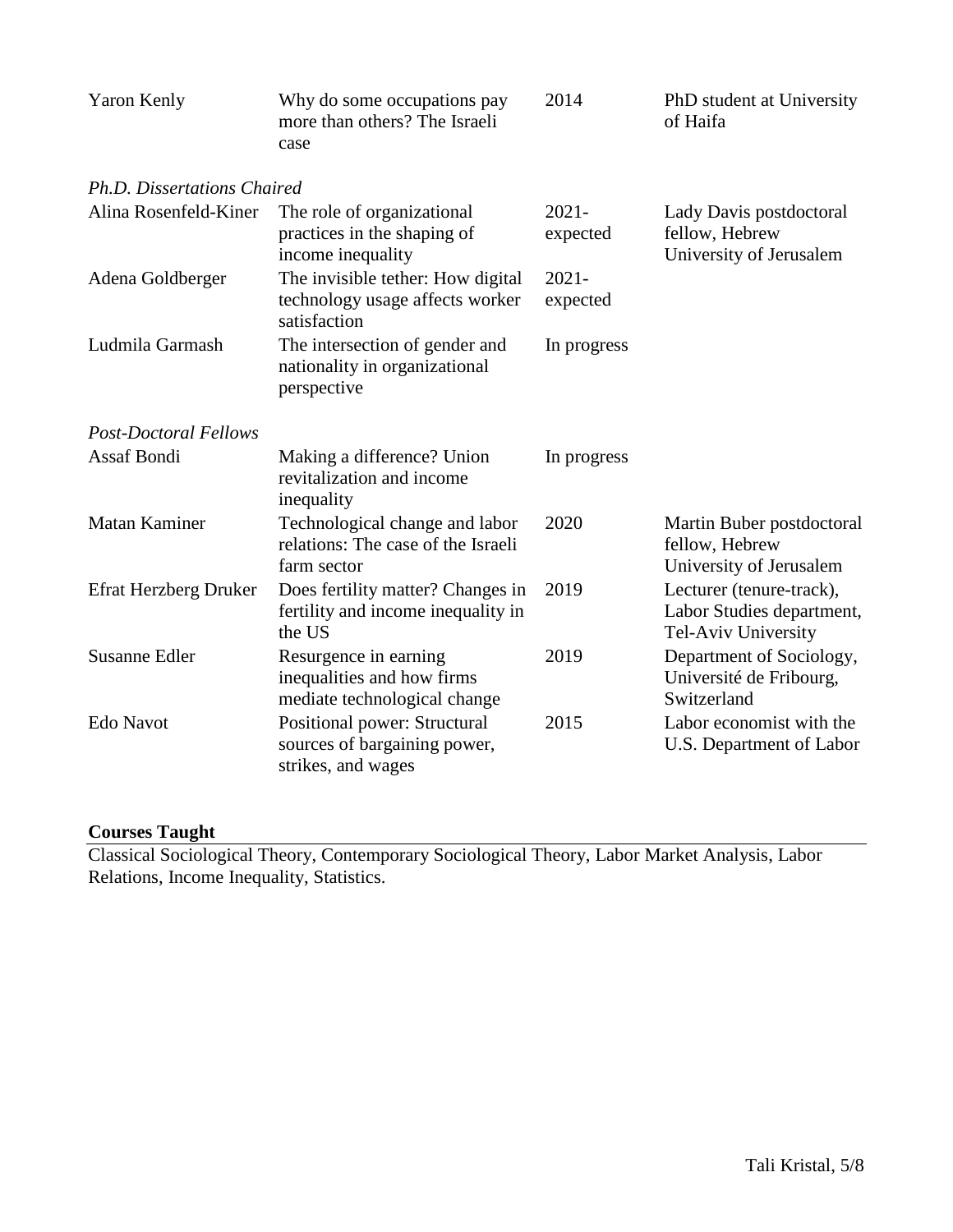| Yaron Kenly                  | Why do some occupations pay<br>more than others? The Israeli<br>case                 | 2014                 | PhD student at University<br>of Haifa                                        |
|------------------------------|--------------------------------------------------------------------------------------|----------------------|------------------------------------------------------------------------------|
| Ph.D. Dissertations Chaired  |                                                                                      |                      |                                                                              |
| Alina Rosenfeld-Kiner        | The role of organizational<br>practices in the shaping of<br>income inequality       | $2021 -$<br>expected | Lady Davis postdoctoral<br>fellow, Hebrew<br>University of Jerusalem         |
| Adena Goldberger             | The invisible tether: How digital<br>technology usage affects worker<br>satisfaction | $2021 -$<br>expected |                                                                              |
| Ludmila Garmash              | The intersection of gender and<br>nationality in organizational<br>perspective       | In progress          |                                                                              |
| <b>Post-Doctoral Fellows</b> |                                                                                      |                      |                                                                              |
| <b>Assaf Bondi</b>           | Making a difference? Union<br>revitalization and income<br>inequality                | In progress          |                                                                              |
| Matan Kaminer                | Technological change and labor<br>relations: The case of the Israeli<br>farm sector  | 2020                 | Martin Buber postdoctoral<br>fellow, Hebrew<br>University of Jerusalem       |
| Efrat Herzberg Druker        | Does fertility matter? Changes in<br>fertility and income inequality in<br>the US    | 2019                 | Lecturer (tenure-track),<br>Labor Studies department,<br>Tel-Aviv University |
| <b>Susanne Edler</b>         | Resurgence in earning<br>inequalities and how firms<br>mediate technological change  | 2019                 | Department of Sociology,<br>Université de Fribourg,<br>Switzerland           |
| <b>Edo Navot</b>             | Positional power: Structural<br>sources of bargaining power,<br>strikes, and wages   | 2015                 | Labor economist with the<br>U.S. Department of Labor                         |

## **Courses Taught**

Classical Sociological Theory, Contemporary Sociological Theory, Labor Market Analysis, Labor Relations, Income Inequality, Statistics.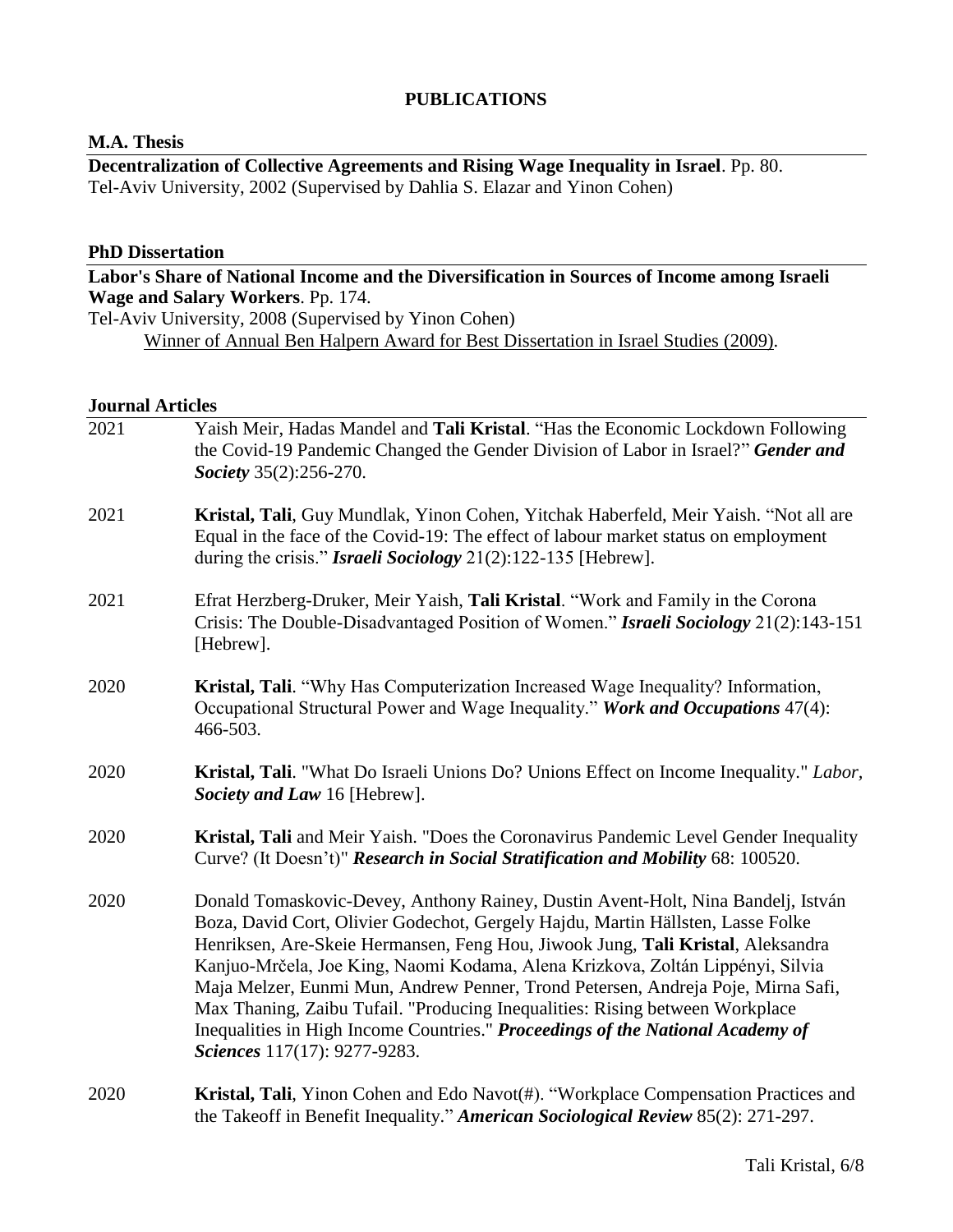## **PUBLICATIONS**

#### **M.A. Thesis**

**Decentralization of Collective Agreements and Rising Wage Inequality in Israel**. Pp. 80. Tel-Aviv University, 2002 (Supervised by Dahlia S. Elazar and Yinon Cohen)

### **PhD Dissertation**

|                         | Labor's Share of National Income and the Diversification in Sources of Income among Israeli                                                                                                                                                                                                                                                                                                                                                                                                                                                                                                                                    |
|-------------------------|--------------------------------------------------------------------------------------------------------------------------------------------------------------------------------------------------------------------------------------------------------------------------------------------------------------------------------------------------------------------------------------------------------------------------------------------------------------------------------------------------------------------------------------------------------------------------------------------------------------------------------|
|                         | Wage and Salary Workers. Pp. 174.                                                                                                                                                                                                                                                                                                                                                                                                                                                                                                                                                                                              |
|                         | Tel-Aviv University, 2008 (Supervised by Yinon Cohen)                                                                                                                                                                                                                                                                                                                                                                                                                                                                                                                                                                          |
|                         | Winner of Annual Ben Halpern Award for Best Dissertation in Israel Studies (2009).                                                                                                                                                                                                                                                                                                                                                                                                                                                                                                                                             |
|                         |                                                                                                                                                                                                                                                                                                                                                                                                                                                                                                                                                                                                                                |
| <b>Journal Articles</b> |                                                                                                                                                                                                                                                                                                                                                                                                                                                                                                                                                                                                                                |
| 2021                    | Yaish Meir, Hadas Mandel and Tali Kristal. "Has the Economic Lockdown Following<br>the Covid-19 Pandemic Changed the Gender Division of Labor in Israel?" Gender and<br>Society 35(2):256-270.                                                                                                                                                                                                                                                                                                                                                                                                                                 |
| 2021                    | Kristal, Tali, Guy Mundlak, Yinon Cohen, Yitchak Haberfeld, Meir Yaish. "Not all are<br>Equal in the face of the Covid-19: The effect of labour market status on employment<br>during the crisis." Israeli Sociology 21(2):122-135 [Hebrew].                                                                                                                                                                                                                                                                                                                                                                                   |
| 2021                    | Efrat Herzberg-Druker, Meir Yaish, Tali Kristal. "Work and Family in the Corona<br>Crisis: The Double-Disadvantaged Position of Women." Israeli Sociology 21(2):143-151<br>[Hebrew].                                                                                                                                                                                                                                                                                                                                                                                                                                           |
| 2020                    | Kristal, Tali. "Why Has Computerization Increased Wage Inequality? Information,<br>Occupational Structural Power and Wage Inequality." Work and Occupations 47(4):<br>466-503.                                                                                                                                                                                                                                                                                                                                                                                                                                                 |
| 2020                    | Kristal, Tali. "What Do Israeli Unions Do? Unions Effect on Income Inequality." Labor,<br>Society and Law 16 [Hebrew].                                                                                                                                                                                                                                                                                                                                                                                                                                                                                                         |
| 2020                    | Kristal, Tali and Meir Yaish. "Does the Coronavirus Pandemic Level Gender Inequality<br>Curve? (It Doesn't)" Research in Social Stratification and Mobility 68: 100520.                                                                                                                                                                                                                                                                                                                                                                                                                                                        |
| 2020                    | Donald Tomaskovic-Devey, Anthony Rainey, Dustin Avent-Holt, Nina Bandelj, István<br>Boza, David Cort, Olivier Godechot, Gergely Hajdu, Martin Hällsten, Lasse Folke<br>Henriksen, Are-Skeie Hermansen, Feng Hou, Jiwook Jung, Tali Kristal, Aleksandra<br>Kanjuo-Mrčela, Joe King, Naomi Kodama, Alena Krizkova, Zoltán Lippényi, Silvia<br>Maja Melzer, Eunmi Mun, Andrew Penner, Trond Petersen, Andreja Poje, Mirna Safi,<br>Max Thaning, Zaibu Tufail. "Producing Inequalities: Rising between Workplace<br>Inequalities in High Income Countries." Proceedings of the National Academy of<br>Sciences 117(17): 9277-9283. |
| 2020                    | <b>Kristal, Tali</b> , Yinon Cohen and Edo Navot(#). "Workplace Compensation Practices and<br>the Takeoff in Benefit Inequality." American Sociological Review 85(2): 271-297.                                                                                                                                                                                                                                                                                                                                                                                                                                                 |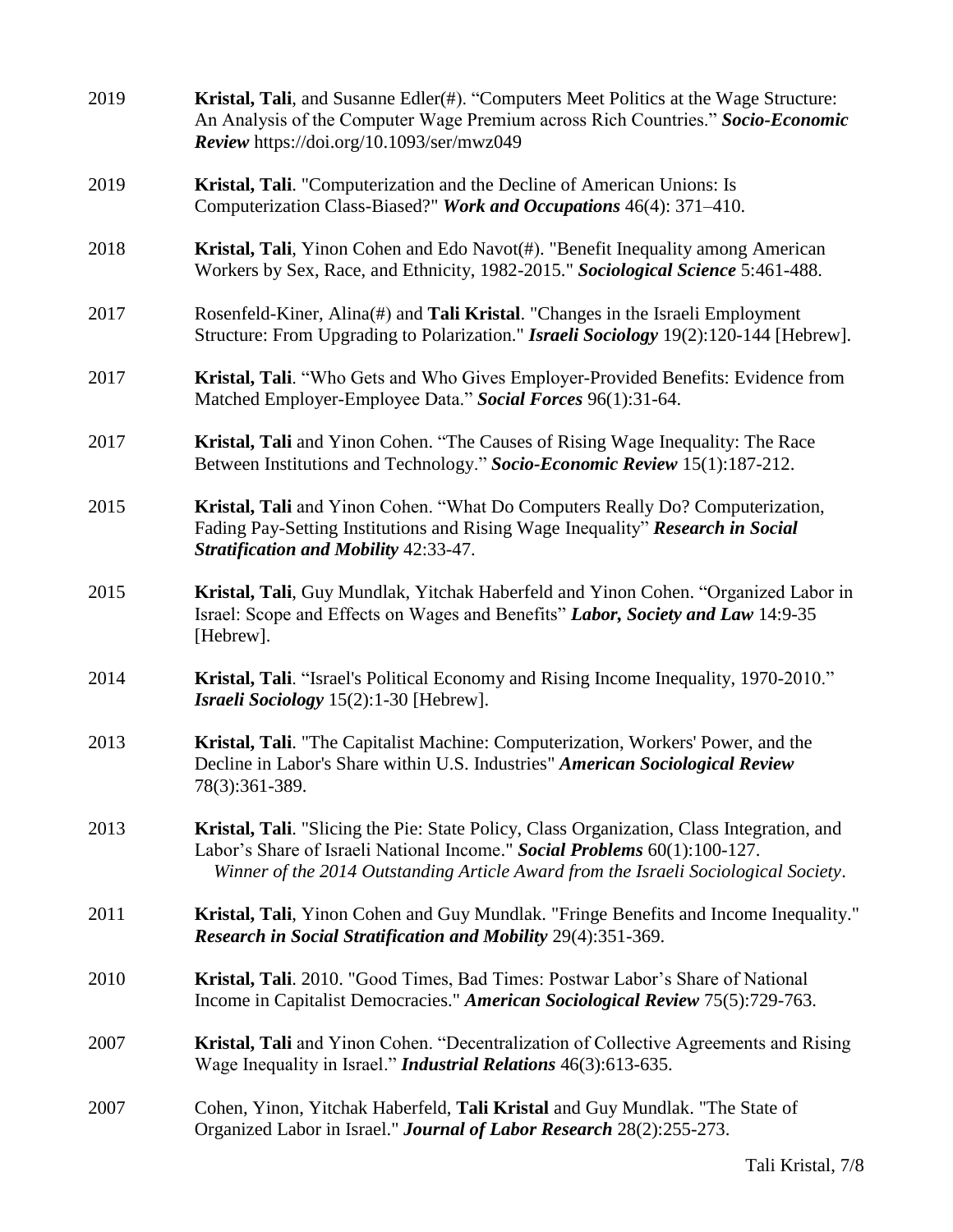| 2019 | Kristal, Tali, and Susanne Edler(#). "Computers Meet Politics at the Wage Structure:<br>An Analysis of the Computer Wage Premium across Rich Countries." Socio-Economic<br>Review https://doi.org/10.1093/ser/mwz049                                          |
|------|---------------------------------------------------------------------------------------------------------------------------------------------------------------------------------------------------------------------------------------------------------------|
| 2019 | Kristal, Tali. "Computerization and the Decline of American Unions: Is<br>Computerization Class-Biased?" Work and Occupations 46(4): 371–410.                                                                                                                 |
| 2018 | Kristal, Tali, Yinon Cohen and Edo Navot(#). "Benefit Inequality among American<br>Workers by Sex, Race, and Ethnicity, 1982-2015." Sociological Science 5:461-488.                                                                                           |
| 2017 | Rosenfeld-Kiner, Alina(#) and Tali Kristal. "Changes in the Israeli Employment<br>Structure: From Upgrading to Polarization." Israeli Sociology 19(2):120-144 [Hebrew].                                                                                       |
| 2017 | Kristal, Tali. "Who Gets and Who Gives Employer-Provided Benefits: Evidence from<br>Matched Employer-Employee Data." Social Forces 96(1):31-64.                                                                                                               |
| 2017 | Kristal, Tali and Yinon Cohen. "The Causes of Rising Wage Inequality: The Race<br>Between Institutions and Technology." Socio-Economic Review 15(1):187-212.                                                                                                  |
| 2015 | Kristal, Tali and Yinon Cohen. "What Do Computers Really Do? Computerization,<br>Fading Pay-Setting Institutions and Rising Wage Inequality" Research in Social<br><b>Stratification and Mobility 42:33-47.</b>                                               |
| 2015 | Kristal, Tali, Guy Mundlak, Yitchak Haberfeld and Yinon Cohen. "Organized Labor in<br>Israel: Scope and Effects on Wages and Benefits" Labor, Society and Law 14:9-35<br>[Hebrew].                                                                            |
| 2014 | Kristal, Tali. "Israel's Political Economy and Rising Income Inequality, 1970-2010."<br>Israeli Sociology 15(2):1-30 [Hebrew].                                                                                                                                |
| 2013 | Kristal, Tali. "The Capitalist Machine: Computerization, Workers' Power, and the<br>Decline in Labor's Share within U.S. Industries" American Sociological Review<br>78(3):361-389.                                                                           |
| 2013 | Kristal, Tali. "Slicing the Pie: State Policy, Class Organization, Class Integration, and<br>Labor's Share of Israeli National Income." Social Problems 60(1):100-127.<br>Winner of the 2014 Outstanding Article Award from the Israeli Sociological Society. |
| 2011 | Kristal, Tali, Yinon Cohen and Guy Mundlak. "Fringe Benefits and Income Inequality."<br>Research in Social Stratification and Mobility 29(4):351-369.                                                                                                         |
| 2010 | Kristal, Tali. 2010. "Good Times, Bad Times: Postwar Labor's Share of National<br>Income in Capitalist Democracies." American Sociological Review 75(5):729-763.                                                                                              |
| 2007 | Kristal, Tali and Yinon Cohen. "Decentralization of Collective Agreements and Rising<br>Wage Inequality in Israel." <i>Industrial Relations</i> 46(3):613-635.                                                                                                |
| 2007 | Cohen, Yinon, Yitchak Haberfeld, Tali Kristal and Guy Mundlak. "The State of<br>Organized Labor in Israel." Journal of Labor Research 28(2):255-273.                                                                                                          |